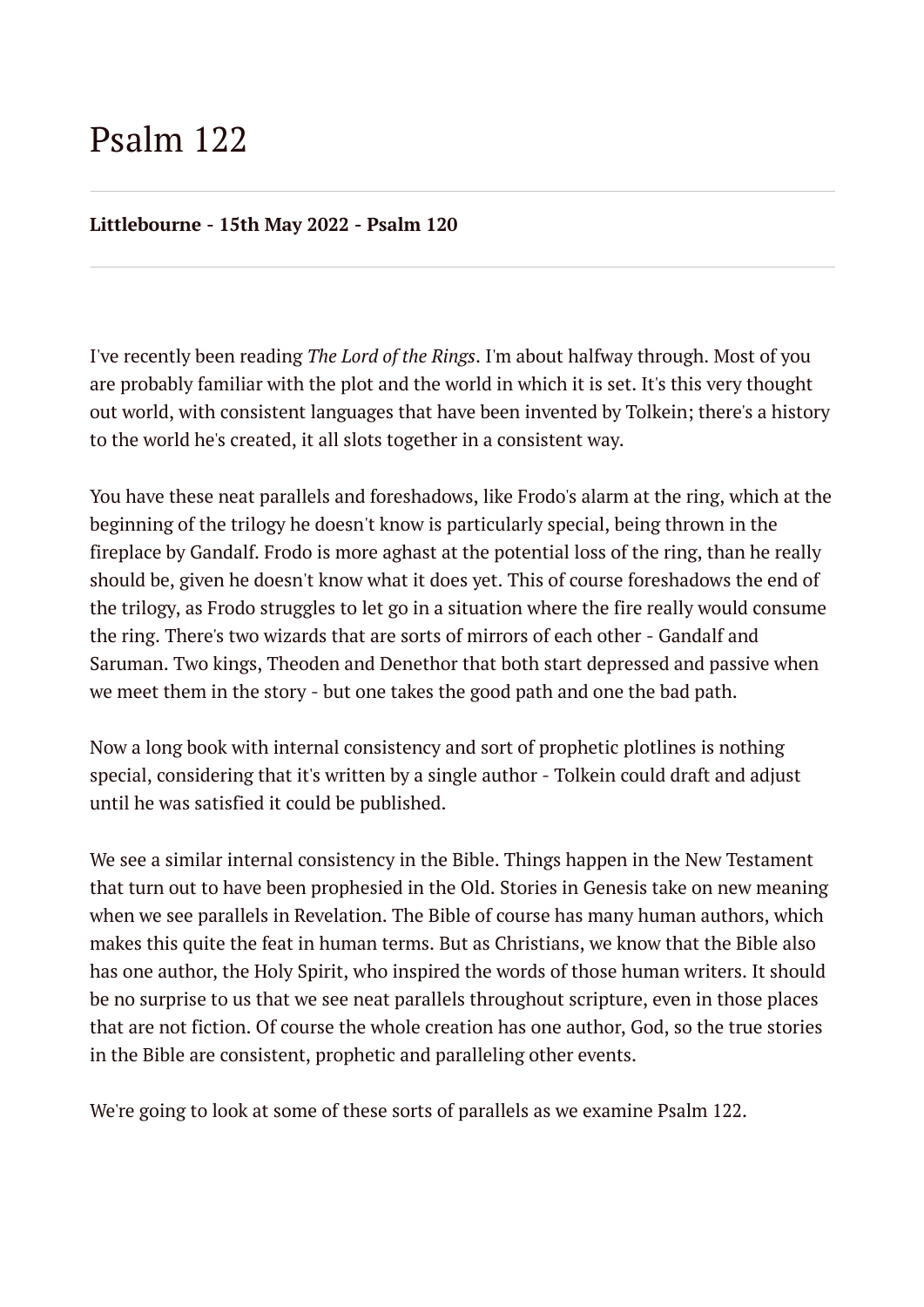# Psalm 122

#### **Littlebourne - 15th May 2022 - Psalm 120**

I've recently been reading *The Lord of the Rings*. I'm about halfway through. Most of you are probably familiar with the plot and the world in which it is set. It's this very thought out world, with consistent languages that have been invented by Tolkein; there's a history to the world he's created, it all slots together in a consistent way.

You have these neat parallels and foreshadows, like Frodo's alarm at the ring, which at the beginning of the trilogy he doesn't know is particularly special, being thrown in the fireplace by Gandalf. Frodo is more aghast at the potential loss of the ring, than he really should be, given he doesn't know what it does yet. This of course foreshadows the end of the trilogy, as Frodo struggles to let go in a situation where the fire really would consume the ring. There's two wizards that are sorts of mirrors of each other - Gandalf and Saruman. Two kings, Theoden and Denethor that both start depressed and passive when we meet them in the story - but one takes the good path and one the bad path.

Now a long book with internal consistency and sort of prophetic plotlines is nothing special, considering that it's written by a single author - Tolkein could draft and adjust until he was satisfied it could be published.

We see a similar internal consistency in the Bible. Things happen in the New Testament that turn out to have been prophesied in the Old. Stories in Genesis take on new meaning when we see parallels in Revelation. The Bible of course has many human authors, which makes this quite the feat in human terms. But as Christians, we know that the Bible also has one author, the Holy Spirit, who inspired the words of those human writers. It should be no surprise to us that we see neat parallels throughout scripture, even in those places that are not fiction. Of course the whole creation has one author, God, so the true stories in the Bible are consistent, prophetic and paralleling other events.

We're going to look at some of these sorts of parallels as we examine Psalm 122.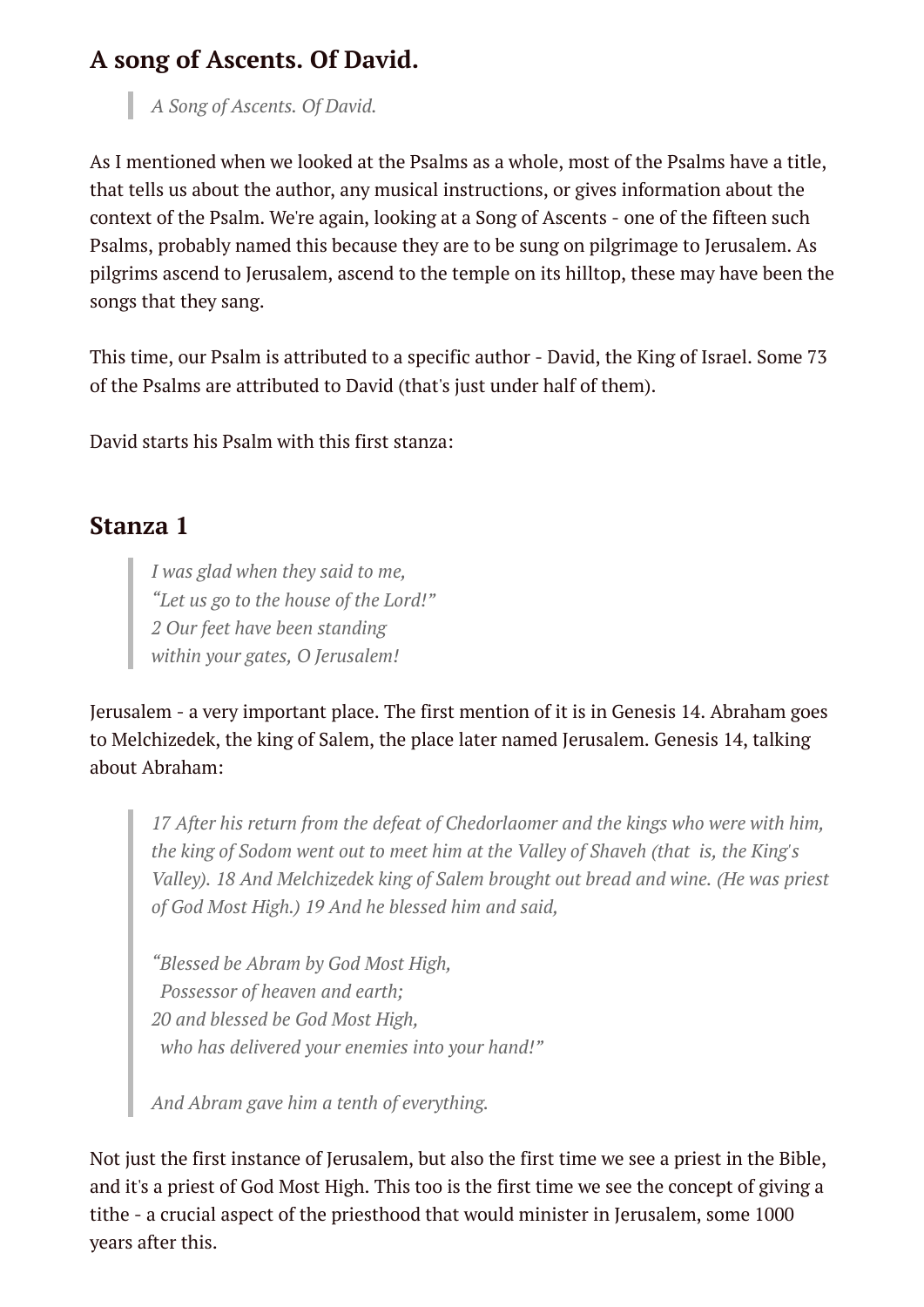### **A song of Ascents. Of David.**

*A Song of Ascents. Of David.*

As I mentioned when we looked at the Psalms as a whole, most of the Psalms have a title, that tells us about the author, any musical instructions, or gives information about the context of the Psalm. We're again, looking at a Song of Ascents - one of the fifteen such Psalms, probably named this because they are to be sung on pilgrimage to Jerusalem. As pilgrims ascend to Jerusalem, ascend to the temple on its hilltop, these may have been the songs that they sang.

This time, our Psalm is attributed to a specific author - David, the King of Israel. Some 73 of the Psalms are attributed to David (that's just under half of them).

David starts his Psalm with this first stanza:

#### **Stanza 1**

*I was glad when they said to me, "Let us go to the house of the Lord!" 2 Our feet have been standing within your gates, O Jerusalem!*

Jerusalem - a very important place. The first mention of it is in Genesis 14. Abraham goes to Melchizedek, the king of Salem, the place later named Jerusalem. Genesis 14, talking about Abraham:

*17 After his return from the defeat of Chedorlaomer and the kings who were with him, the king of Sodom went out to meet him at the Valley of Shaveh (that is, the King's Valley). 18 And Melchizedek king of Salem brought out bread and wine. (He was priest of God Most High.) 19 And he blessed him and said,*

*"Blessed be Abram by God Most High, Possessor of heaven and earth; 20 and blessed be God Most High, who has delivered your enemies into your hand!"*

*And Abram gave him a tenth of everything.*

Not just the first instance of Jerusalem, but also the first time we see a priest in the Bible, and it's a priest of God Most High. This too is the first time we see the concept of giving a tithe - a crucial aspect of the priesthood that would minister in Jerusalem, some 1000 years after this.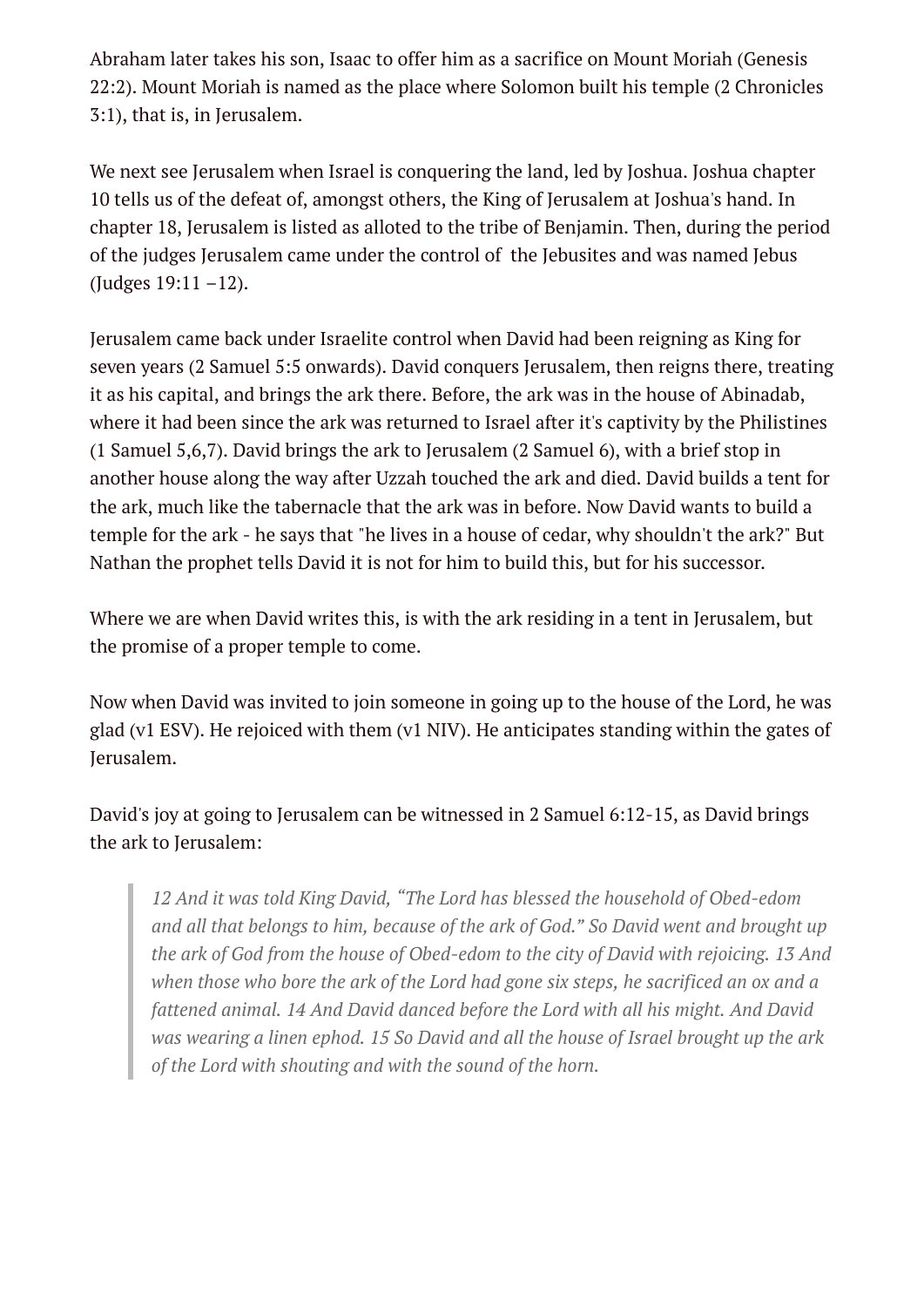Abraham later takes his son, Isaac to offer him as a sacrifice on Mount Moriah (Genesis 22:2). Mount Moriah is named as the place where Solomon built his temple (2 Chronicles 3:1), that is, in Jerusalem.

We next see Jerusalem when Israel is conquering the land, led by Joshua. Joshua chapter 10 tells us of the defeat of, amongst others, the King of Jerusalem at Joshua's hand. In chapter 18, Jerusalem is listed as alloted to the tribe of Benjamin. Then, during the period of the judges Jerusalem came under the control of the Jebusites and was named Jebus (Judges 19:11 –12).

Jerusalem came back under Israelite control when David had been reigning as King for seven years (2 Samuel 5:5 onwards). David conquers Jerusalem, then reigns there, treating it as his capital, and brings the ark there. Before, the ark was in the house of Abinadab, where it had been since the ark was returned to Israel after it's captivity by the Philistines (1 Samuel 5,6,7). David brings the ark to Jerusalem (2 Samuel 6), with a brief stop in another house along the way after Uzzah touched the ark and died. David builds a tent for the ark, much like the tabernacle that the ark was in before. Now David wants to build a temple for the ark - he says that "he lives in a house of cedar, why shouldn't the ark?" But Nathan the prophet tells David it is not for him to build this, but for his successor.

Where we are when David writes this, is with the ark residing in a tent in Jerusalem, but the promise of a proper temple to come.

Now when David was invited to join someone in going up to the house of the Lord, he was glad (v1 ESV). He rejoiced with them (v1 NIV). He anticipates standing within the gates of Jerusalem.

David's joy at going to Jerusalem can be witnessed in 2 Samuel 6:12-15, as David brings the ark to Jerusalem:

*12 And it was told King David, "The Lord has blessed the household of Obed-edom and all that belongs to him, because of the ark of God." So David went and brought up the ark of God from the house of Obed-edom to the city of David with rejoicing. 13 And when those who bore the ark of the Lord had gone six steps, he sacrificed an ox and a fattened animal. 14 And David danced before the Lord with all his might. And David was wearing a linen ephod. 15 So David and all the house of Israel brought up the ark of the Lord with shouting and with the sound of the horn.*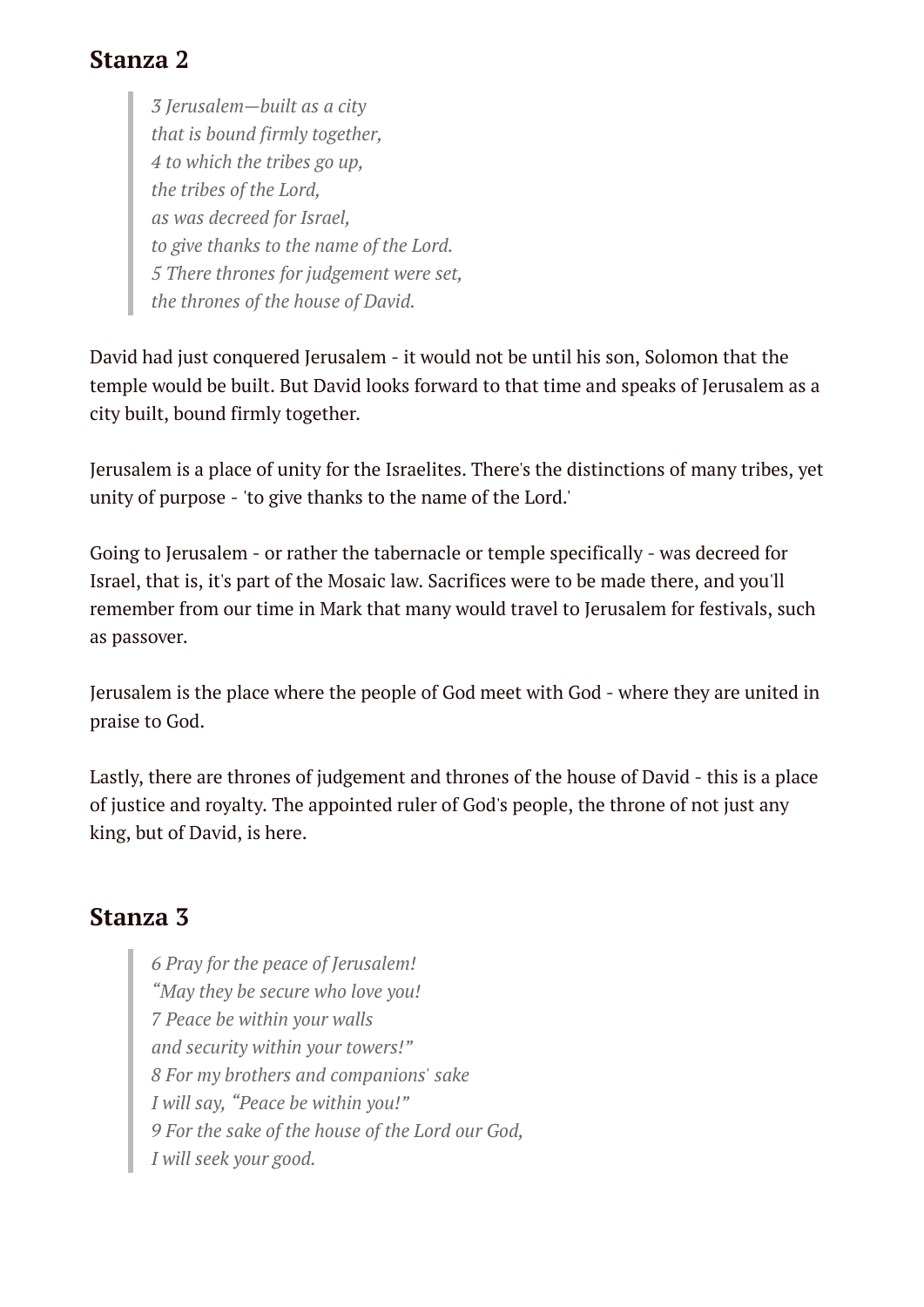#### **Stanza 2**

*3 Jerusalem—built as a city that is bound firmly together, 4 to which the tribes go up, the tribes of the Lord, as was decreed for Israel, to give thanks to the name of the Lord. 5 There thrones for judgement were set, the thrones of the house of David.*

David had just conquered Jerusalem - it would not be until his son, Solomon that the temple would be built. But David looks forward to that time and speaks of Jerusalem as a city built, bound firmly together.

Jerusalem is a place of unity for the Israelites. There's the distinctions of many tribes, yet unity of purpose - 'to give thanks to the name of the Lord.'

Going to Jerusalem - or rather the tabernacle or temple specifically - was decreed for Israel, that is, it's part of the Mosaic law. Sacrifices were to be made there, and you'll remember from our time in Mark that many would travel to Jerusalem for festivals, such as passover.

Jerusalem is the place where the people of God meet with God - where they are united in praise to God.

Lastly, there are thrones of judgement and thrones of the house of David - this is a place of justice and royalty. The appointed ruler of God's people, the throne of not just any king, but of David, is here.

#### **Stanza 3**

*6 Pray for the peace of Jerusalem! "May they be secure who love you! 7 Peace be within your walls and security within your towers!" 8 For my brothers and companions' sake I will say, "Peace be within you!" 9 For the sake of the house of the Lord our God, I will seek your good.*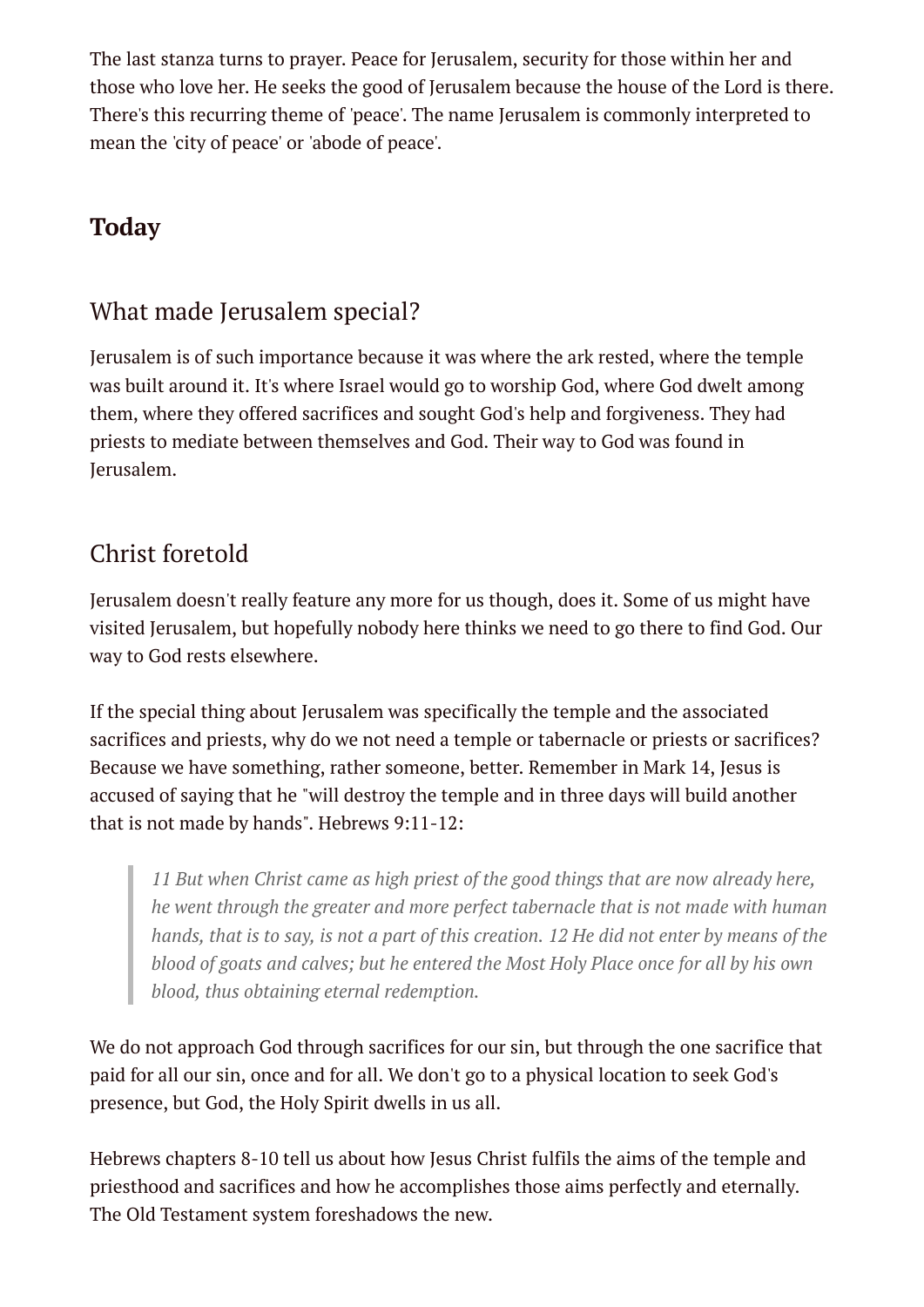The last stanza turns to prayer. Peace for Jerusalem, security for those within her and those who love her. He seeks the good of Jerusalem because the house of the Lord is there. There's this recurring theme of 'peace'. The name Jerusalem is commonly interpreted to mean the 'city of peace' or 'abode of peace'.

# **Today**

#### What made Jerusalem special?

Jerusalem is of such importance because it was where the ark rested, where the temple was built around it. It's where Israel would go to worship God, where God dwelt among them, where they offered sacrifices and sought God's help and forgiveness. They had priests to mediate between themselves and God. Their way to God was found in Jerusalem.

### Christ foretold

Jerusalem doesn't really feature any more for us though, does it. Some of us might have visited Jerusalem, but hopefully nobody here thinks we need to go there to find God. Our way to God rests elsewhere.

If the special thing about Jerusalem was specifically the temple and the associated sacrifices and priests, why do we not need a temple or tabernacle or priests or sacrifices? Because we have something, rather someone, better. Remember in Mark 14, Jesus is accused of saying that he "will destroy the temple and in three days will build another that is not made by hands". Hebrews 9:11-12:

*11 But when Christ came as high priest of the good things that are now already here, he went through the greater and more perfect tabernacle that is not made with human* hands, that is to say, is not a part of this creation. 12 He did not enter by means of the *blood of goats and calves; but he entered the Most Holy Place once for all by his own blood, thus obtaining eternal redemption.*

We do not approach God through sacrifices for our sin, but through the one sacrifice that paid for all our sin, once and for all. We don't go to a physical location to seek God's presence, but God, the Holy Spirit dwells in us all.

Hebrews chapters 8-10 tell us about how Jesus Christ fulfils the aims of the temple and priesthood and sacrifices and how he accomplishes those aims perfectly and eternally. The Old Testament system foreshadows the new.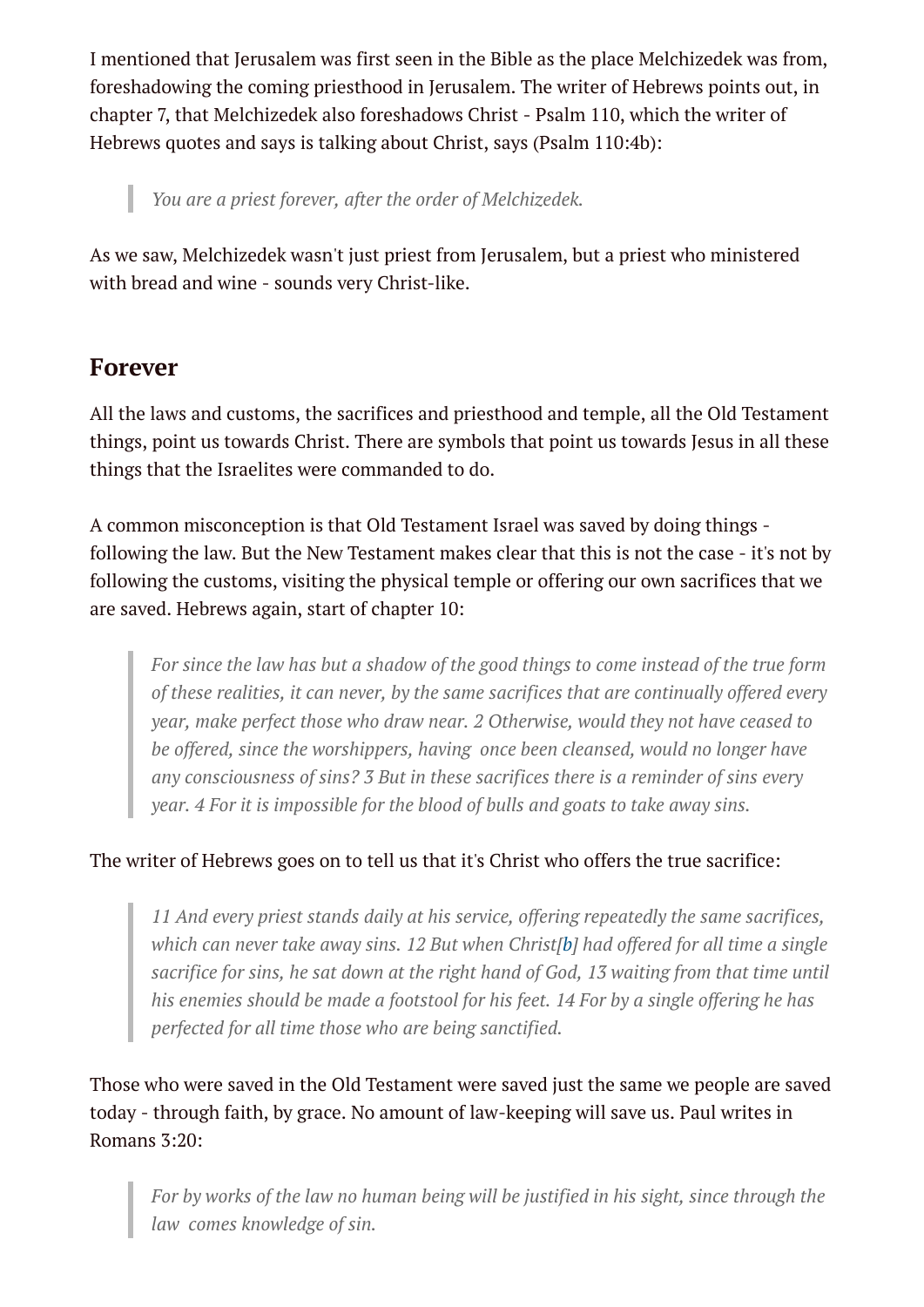I mentioned that Jerusalem was first seen in the Bible as the place Melchizedek was from, foreshadowing the coming priesthood in Jerusalem. The writer of Hebrews points out, in chapter 7, that Melchizedek also foreshadows Christ - Psalm 110, which the writer of Hebrews quotes and says is talking about Christ, says (Psalm 110:4b):

*You are a priest forever, after the order of Melchizedek.*

As we saw, Melchizedek wasn't just priest from Jerusalem, but a priest who ministered with bread and wine - sounds very Christ-like.

#### **Forever**

I

All the laws and customs, the sacrifices and priesthood and temple, all the Old Testament things, point us towards Christ. There are symbols that point us towards Jesus in all these things that the Israelites were commanded to do.

A common misconception is that Old Testament Israel was saved by doing things following the law. But the New Testament makes clear that this is not the case - it's not by following the customs, visiting the physical temple or offering our own sacrifices that we are saved. Hebrews again, start of chapter 10:

*For since the law has but a shadow of the good things to come instead of the true form of these realities, it can never, by the same sacrifices that are continually offered every year, make perfect those who draw near. 2 Otherwise, would they not have ceased to be offered, since the worshippers, having once been cleansed, would no longer have any consciousness of sins? 3 But in these sacrifices there is a reminder of sins every year. 4 For it is impossible for the blood of bulls and goats to take away sins.*

#### The writer of Hebrews goes on to tell us that it's Christ who offers the true sacrifice:

*11 And every priest stands daily at his service, offering repeatedly the same sacrifices, which can never take away sins. 12 But when Christ[[b\]](https://www.biblegateway.com/passage/?search=hebrews+10&version=ESV#fen-ESV-30129b) had offered for all time a single sacrifice for sins, he sat down at the right hand of God, 13 waiting from that time until his enemies should be made a footstool for his feet. 14 For by a single offering he has perfected for all time those who are being sanctified.*

Those who were saved in the Old Testament were saved just the same we people are saved today - through faith, by grace. No amount of law-keeping will save us. Paul writes in Romans 3:20:

*For by works of the law no human being will be justified in his sight, since through the law comes knowledge of sin.*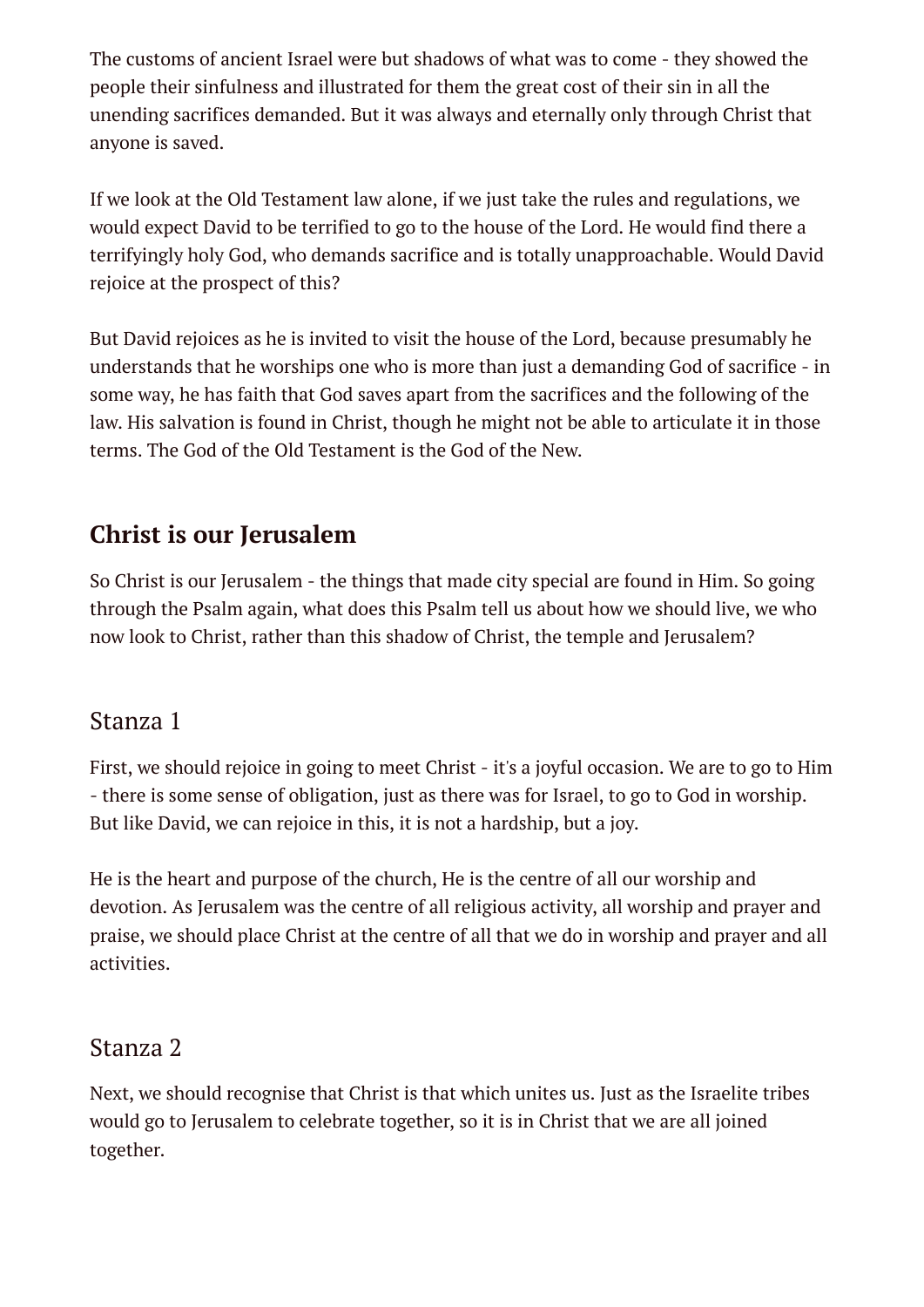The customs of ancient Israel were but shadows of what was to come - they showed the people their sinfulness and illustrated for them the great cost of their sin in all the unending sacrifices demanded. But it was always and eternally only through Christ that anyone is saved.

If we look at the Old Testament law alone, if we just take the rules and regulations, we would expect David to be terrified to go to the house of the Lord. He would find there a terrifyingly holy God, who demands sacrifice and is totally unapproachable. Would David rejoice at the prospect of this?

But David rejoices as he is invited to visit the house of the Lord, because presumably he understands that he worships one who is more than just a demanding God of sacrifice - in some way, he has faith that God saves apart from the sacrifices and the following of the law. His salvation is found in Christ, though he might not be able to articulate it in those terms. The God of the Old Testament is the God of the New.

## **Christ is our Jerusalem**

So Christ is our Jerusalem - the things that made city special are found in Him. So going through the Psalm again, what does this Psalm tell us about how we should live, we who now look to Christ, rather than this shadow of Christ, the temple and Jerusalem?

#### Stanza 1

First, we should rejoice in going to meet Christ - it's a joyful occasion. We are to go to Him - there is some sense of obligation, just as there was for Israel, to go to God in worship. But like David, we can rejoice in this, it is not a hardship, but a joy.

He is the heart and purpose of the church, He is the centre of all our worship and devotion. As Jerusalem was the centre of all religious activity, all worship and prayer and praise, we should place Christ at the centre of all that we do in worship and prayer and all activities.

#### Stanza 2

Next, we should recognise that Christ is that which unites us. Just as the Israelite tribes would go to Jerusalem to celebrate together, so it is in Christ that we are all joined together.